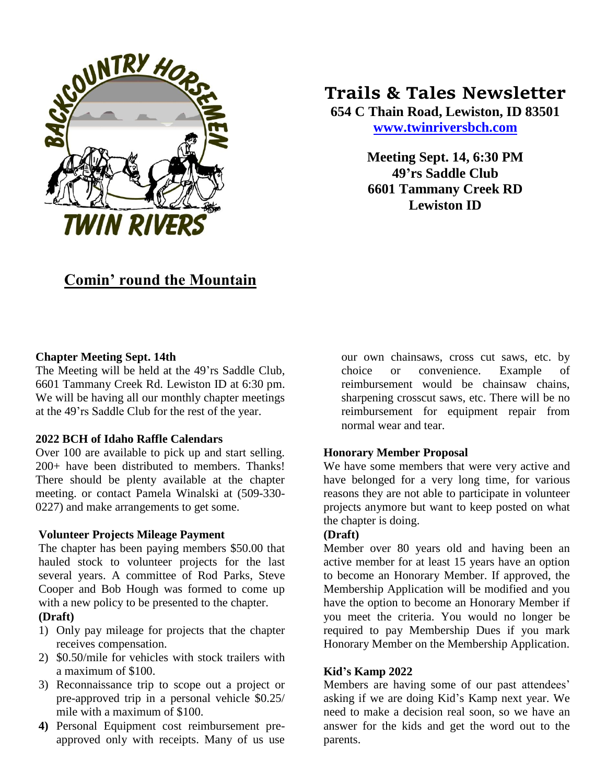

# **Trails & Tales Newsletter**

**654 C Thain Road, Lewiston, ID 83501 [www.twinriversbch.com](http://www.twinriversbch.com/)**

> **Meeting Sept. 14, 6:30 PM 49'rs Saddle Club 6601 Tammany Creek RD Lewiston ID**

## **Comin' round the Mountain**

#### **Chapter Meeting Sept. 14th**

The Meeting will be held at the 49'rs Saddle Club, 6601 Tammany Creek Rd. Lewiston ID at 6:30 pm. We will be having all our monthly chapter meetings at the 49'rs Saddle Club for the rest of the year.

#### **2022 BCH of Idaho Raffle Calendars**

Over 100 are available to pick up and start selling. 200+ have been distributed to members. Thanks! There should be plenty available at the chapter meeting. or contact Pamela Winalski at (509-330- 0227) and make arrangements to get some.

#### **Volunteer Projects Mileage Payment**

The chapter has been paying members \$50.00 that hauled stock to volunteer projects for the last several years. A committee of Rod Parks, Steve Cooper and Bob Hough was formed to come up with a new policy to be presented to the chapter.

#### **(Draft)**

- 1) Only pay mileage for projects that the chapter receives compensation.
- 2) \$0.50/mile for vehicles with stock trailers with a maximum of \$100.
- 3) Reconnaissance trip to scope out a project or pre-approved trip in a personal vehicle \$0.25/ mile with a maximum of \$100.
- **4)** Personal Equipment cost reimbursement preapproved only with receipts. Many of us use

our own chainsaws, cross cut saws, etc. by choice or convenience. Example of reimbursement would be chainsaw chains, sharpening crosscut saws, etc. There will be no reimbursement for equipment repair from normal wear and tear.

### **Honorary Member Proposal**

We have some members that were very active and have belonged for a very long time, for various reasons they are not able to participate in volunteer projects anymore but want to keep posted on what the chapter is doing.

#### **(Draft)**

Member over 80 years old and having been an active member for at least 15 years have an option to become an Honorary Member. If approved, the Membership Application will be modified and you have the option to become an Honorary Member if you meet the criteria. You would no longer be required to pay Membership Dues if you mark Honorary Member on the Membership Application.

#### **Kid's Kamp 2022**

Members are having some of our past attendees' asking if we are doing Kid's Kamp next year. We need to make a decision real soon, so we have an answer for the kids and get the word out to the parents.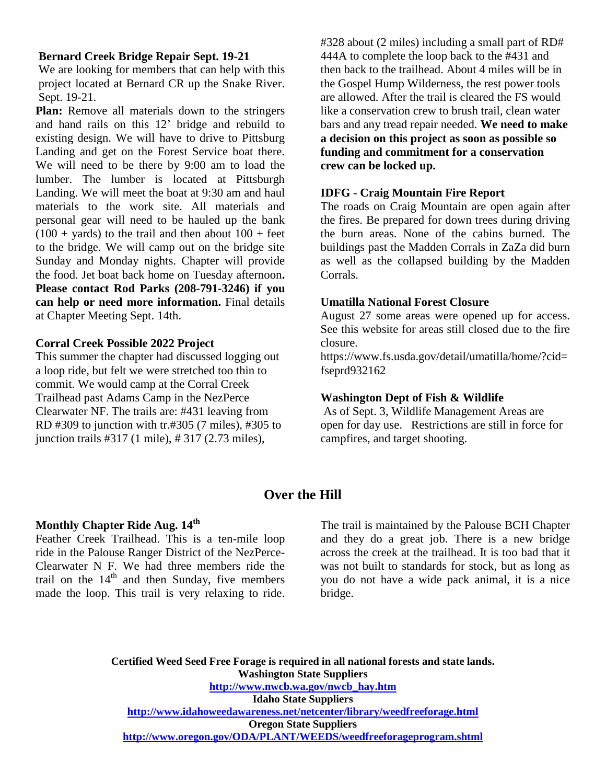#### **Bernard Creek Bridge Repair Sept. 19-21**

We are looking for members that can help with this project located at Bernard CR up the Snake River. Sept. 19-21.

**Plan:** Remove all materials down to the stringers and hand rails on this 12' bridge and rebuild to existing design. We will have to drive to Pittsburg Landing and get on the Forest Service boat there. We will need to be there by 9:00 am to load the lumber. The lumber is located at Pittsburgh Landing. We will meet the boat at 9:30 am and haul materials to the work site. All materials and personal gear will need to be hauled up the bank  $(100 + \text{ yards})$  to the trail and then about  $100 + \text{feet}$ to the bridge. We will camp out on the bridge site Sunday and Monday nights. Chapter will provide the food. Jet boat back home on Tuesday afternoon**. Please contact Rod Parks (208-791-3246) if you can help or need more information.** Final details at Chapter Meeting Sept. 14th.

#### **Corral Creek Possible 2022 Project**

This summer the chapter had discussed logging out a loop ride, but felt we were stretched too thin to commit. We would camp at the Corral Creek Trailhead past Adams Camp in the NezPerce Clearwater NF. The trails are: #431 leaving from RD #309 to junction with tr.#305 (7 miles), #305 to junction trails #317 (1 mile), # 317 (2.73 miles),

#328 about (2 miles) including a small part of RD# 444A to complete the loop back to the #431 and then back to the trailhead. About 4 miles will be in the Gospel Hump Wilderness, the rest power tools are allowed. After the trail is cleared the FS would like a conservation crew to brush trail, clean water bars and any tread repair needed. **We need to make a decision on this project as soon as possible so funding and commitment for a conservation crew can be locked up.**

#### **IDFG - Craig Mountain Fire Report**

The roads on Craig Mountain are open again after the fires. Be prepared for down trees during driving the burn areas. None of the cabins burned. The buildings past the Madden Corrals in ZaZa did burn as well as the collapsed building by the Madden Corrals.

#### **Umatilla National Forest Closure**

August 27 some areas were opened up for access. See this website for areas still closed due to the fire closure.

https://www.fs.usda.gov/detail/umatilla/home/?cid= fseprd932162

#### **Washington Dept of Fish & Wildlife**

As of Sept. 3, Wildlife Management Areas are open for day use. Restrictions are still in force for campfires, and target shooting.

## **Over the Hill**

#### **Monthly Chapter Ride Aug. 14th**

Feather Creek Trailhead. This is a ten-mile loop ride in the Palouse Ranger District of the NezPerce-Clearwater N F. We had three members ride the trail on the  $14<sup>th</sup>$  and then Sunday, five members made the loop. This trail is very relaxing to ride. The trail is maintained by the Palouse BCH Chapter and they do a great job. There is a new bridge across the creek at the trailhead. It is too bad that it was not built to standards for stock, but as long as you do not have a wide pack animal, it is a nice bridge.

**Certified Weed Seed Free Forage is required in all national forests and state lands. Washington State Suppliers [http://www.nwcb.wa.gov/nwcb\\_hay.htm](http://www.nwcb.wa.gov/nwcb_hay.htm) Idaho State Suppliers <http://www.idahoweedawareness.net/netcenter/library/weedfreeforage.html> Oregon State Suppliers <http://www.oregon.gov/ODA/PLANT/WEEDS/weedfreeforageprogram.shtml>**